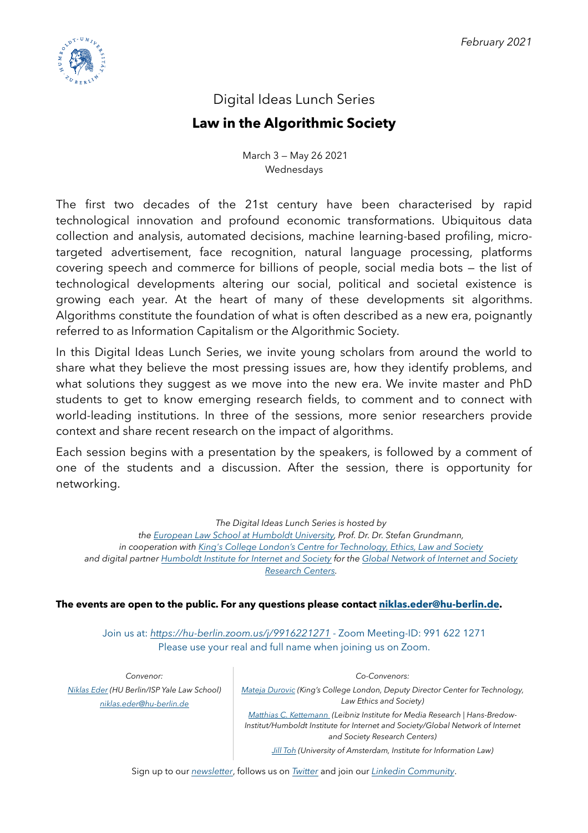

# Digital Ideas Lunch Series

# **Law in the Algorithmic Society**

 March 3 — May 26 2021 Wednesdays

The first two decades of the 21st century have been characterised by rapid technological innovation and profound economic transformations. Ubiquitous data collection and analysis, automated decisions, machine learning-based profiling, microtargeted advertisement, face recognition, natural language processing, platforms covering speech and commerce for billions of people, social media bots — the list of technological developments altering our social, political and societal existence is growing each year. At the heart of many of these developments sit algorithms. Algorithms constitute the foundation of what is often described as a new era, poignantly referred to as Information Capitalism or the Algorithmic Society.

In this Digital Ideas Lunch Series, we invite young scholars from around the world to share what they believe the most pressing issues are, how they identify problems, and what solutions they suggest as we move into the new era. We invite master and PhD students to get to know emerging research fields, to comment and to connect with world-leading institutions. In three of the sessions, more senior researchers provide context and share recent research on the impact of algorithms.

Each session begins with a presentation by the speakers, is followed by a comment of one of the students and a discussion. After the session, there is opportunity for networking.

> *The Digital Ideas Lunch Series is hosted by the [European Law School at Humboldt University,](https://www.european-law-school.eu/en/european-law-school-network-1?set_language=en) Prof. Dr. Dr. Stefan Grundmann, in cooperation with [King's College London's Centre for Technology, Ethics, Law and Society](https://www.kcl.ac.uk/law/research/centres/telos)*

*and digital partner [Humboldt Institute for Internet and Society](https://www.hiig.de/en/) for the [Global Network of Internet and Society](https://networkofcenters.net)  [Research Centers.](https://networkofcenters.net)* 

#### **The events are open to the public. For any questions please contact [niklas.eder@hu-berlin.de.](mailto:niklas.eder@hu-berlin.de)**

Join us at: *<https://hu-berlin.zoom.us/j/9916221271>* - Zoom Meeting-ID: 991 622 1271 Please use your real and full name when joining us on Zoom.

*Convenor: [Niklas Eder](https://law.yale.edu/niklas-eder) (HU Berlin/ISP Yale Law School) [niklas.eder@hu-berlin.de](mailto:niklas.eder@hu-berlin.de)*

*Co-Convenors:* 

*[Mateja Durovic](https://www.kcl.ac.uk/people/mateja-durovic) (King's College London, Deputy Director Center for Technology, Law Ethics and Society)* 

*[Matthias C. Kettemann](https://www.hiig.de/en/matthias-kettemann/) (Leibniz Institute for Media Research | Hans-Bredow-Institut/Humboldt Institute for Internet and Society/Global Network of Internet and Society Research Centers)* 

*[Jill Toh](https://www.ivir.nl/employee/jilltoh/) (University of Amsterdam, Institute for Information Law)*

Sign up to our *[newsletter](http://eepurl.com/hqeRuf)*, follows us on *[Twitter](https://twitter.com/Algorithm_Ideas)* and join our *[Linkedin Community](https://www.linkedin.com/company/law-in-the-algorithmic-society)*.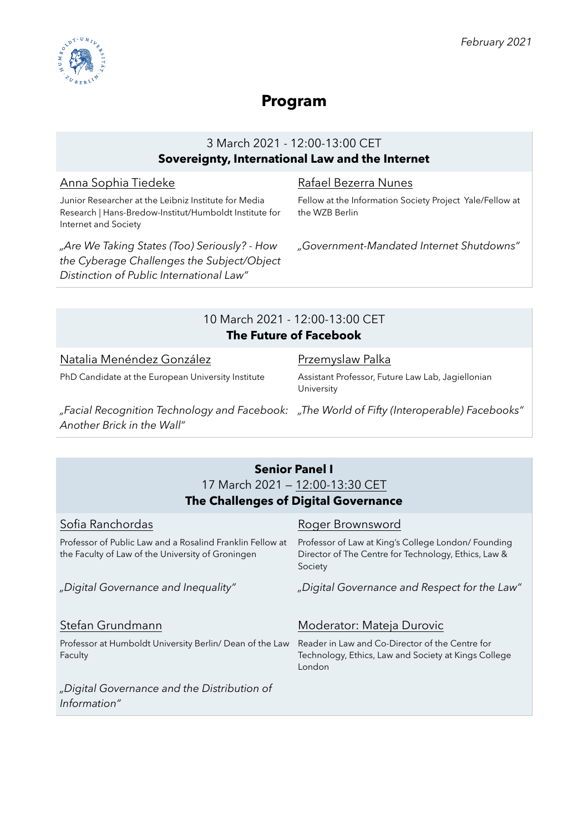

# **Program**

### 3 March 2021 - 12:00-13:00 CET **Sovereignty, International Law and the Internet**

#### Anna Sophia Tiedeke

*Another Brick in the Wall"*

Junior Researcher at the Leibniz Institute for Media Research | Hans-Bredow-Institut/Humboldt Institute for Internet and Society

*"Are We Taking States (Too) Seriously? - How the Cyberage Challenges the Subject/Object Distinction of Public International Law"*

#### Rafael Bezerra Nunes

Fellow at the Information Society Project Yale/Fellow at the WZB Berlin

*"Government-Mandated Internet Shutdowns"* 

### 10 March 2021 - 12:00-13:00 CET **The Future of Facebook**

| Natalia Menéndez González                                                                   | Przemyslaw Palka                                                |
|---------------------------------------------------------------------------------------------|-----------------------------------------------------------------|
| PhD Candidate at the European University Institute                                          | Assistant Professor, Future Law Lab, Jagiellonian<br>University |
| "Facial Recognition Technology and Facebook: "The World of Fifty (Interoperable) Facebooks" |                                                                 |

#### **Senior Panel I** 17 March 2021 — 12:00-13:30 CET **The Challenges of Digital Governance** Sofia Ranchordas Professor of Public Law and a Rosalind Franklin Fellow at the Faculty of Law of the University of Groningen Roger Brownsword Professor of Law at King's College London/ Founding Director of The Centre for Technology, Ethics, Law & Society *"Digital Governance and Inequality" "Digital Governance and Respect for the Law"*  Stefan Grundmann Professor at Humboldt University Berlin/ Dean of the Law Faculty Moderator: Mateja Durovic Reader in Law and Co-Director of the Centre for Technology, Ethics, Law and Society at Kings College London *"Digital Governance and the Distribution of Information"*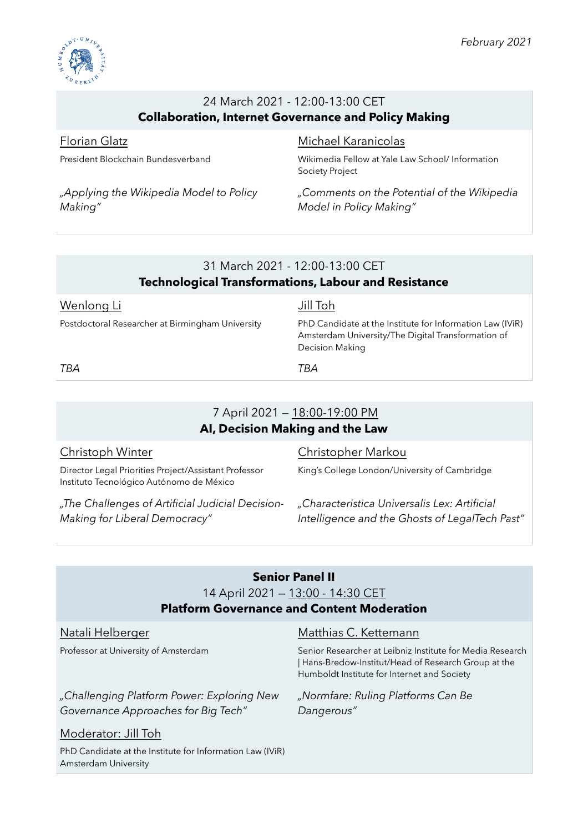

## 24 March 2021 - 12:00-13:00 CET **Collaboration, Internet Governance and Policy Making**

### Florian Glatz

President Blockchain Bundesverband

*"Applying the Wikipedia Model to Policy Making"*

#### Michael Karanicolas

Wikimedia Fellow at Yale Law School/ Information Society Project

*"Comments on the Potential of the Wikipedia Model in Policy Making"* 

### 31 March 2021 - 12:00-13:00 CET **Technological Transformations, Labour and Resistance**

#### Wenlong Li

Postdoctoral Researcher at Birmingham University

#### Jill Toh

PhD Candidate at the Institute for Information Law (IViR) Amsterdam University/The Digital Transformation of Decision Making

*TBA TBA*

# 7 April 2021 — 18:00-19:00 PM **AI, Decision Making and the Law**

#### Christoph Winter

Director Legal Priorities Project/Assistant Professor Instituto Tecnológico Autónomo de México

*"The Challenges of Artificial Judicial Decision-Making for Liberal Democracy"*

#### Christopher Markou

King's College London/University of Cambridge

*"Characteristica Universalis Lex: Artificial Intelligence and the Ghosts of LegalTech Past"* 

| <b>Senior Panel II</b>                            |                                                                                                                                                             |
|---------------------------------------------------|-------------------------------------------------------------------------------------------------------------------------------------------------------------|
| 14 April 2021 - 13:00 - 14:30 CET                 |                                                                                                                                                             |
| <b>Platform Governance and Content Moderation</b> |                                                                                                                                                             |
| Natali Helberger                                  | Matthias C. Kettemann                                                                                                                                       |
| Professor at University of Amsterdam              | Senior Researcher at Leibniz Institute for Media Rese<br>  Hans-Bredow-Institut/Head of Research Group at th<br>Humboldt Institute for Internet and Society |

*"Challenging Platform Power: Exploring New Governance Approaches for Big Tech"*

Senior Researcher at Leibniz Institute for Media Research | Hans-Bredow-Institut/Head of Research Group at the

*"Normfare: Ruling Platforms Can Be Dangerous"*

## Moderator: Jill Toh

PhD Candidate at the Institute for Information Law (IViR) Amsterdam University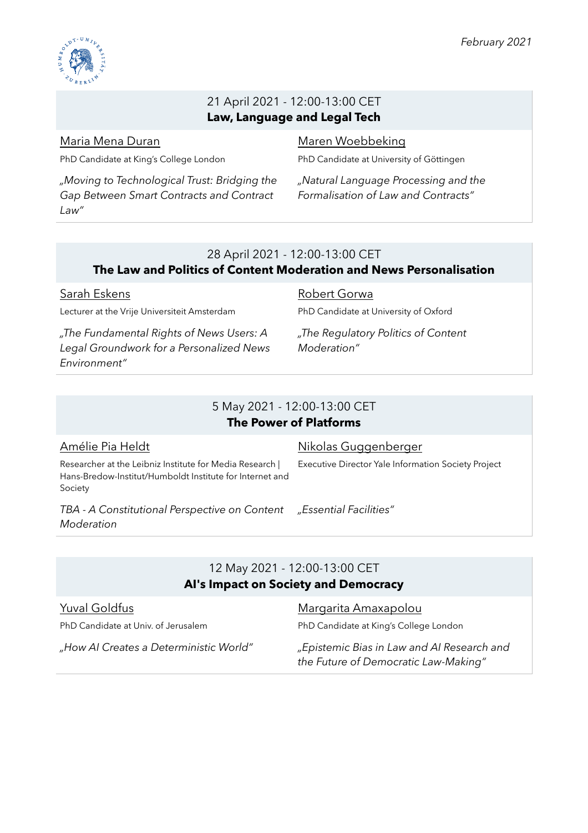

#### 21 April 2021 - 12:00-13:00 CET **Law, Language and Legal Tech**

#### Maria Mena Duran

PhD Candidate at King's College London

*"Moving to Technological Trust: Bridging the Gap Between Smart Contracts and Contract Law"*

## Maren Woebbeking

PhD Candidate at University of Göttingen

*"Natural Language Processing and the Formalisation of Law and Contracts"* 

### 28 April 2021 - 12:00-13:00 CET

#### **The Law and Politics of Content Moderation and News Personalisation**

Sarah Eskens Lecturer at the Vrije Universiteit Amsterdam

*"The Fundamental Rights of News Users: A Legal Groundwork for a Personalized News Environment"*

Robert Gorwa PhD Candidate at University of Oxford

*"The Regulatory Politics of Content Moderation"* 

#### 5 May 2021 - 12:00-13:00 CET **The Power of Platforms**

#### Amélie Pia Heldt Researcher at the Leibniz Institute for Media Research | Hans-Bredow-Institut/Humboldt Institute for Internet and Society Nikolas Guggenberger Executive Director Yale Information Society Project *TBA - A Constitutional Perspective on Content Moderation "Essential Facilities"*

#### 12 May 2021 - 12:00-13:00 CET **AI's Impact on Society and Democracy**

#### Yuval Goldfus

PhD Candidate at Univ. of Jerusalem

Margarita Amaxapolou

PhD Candidate at King's College London

*"How AI Creates a Deterministic World" "Epistemic Bias in Law and AI Research and the Future of Democratic Law-Making"*